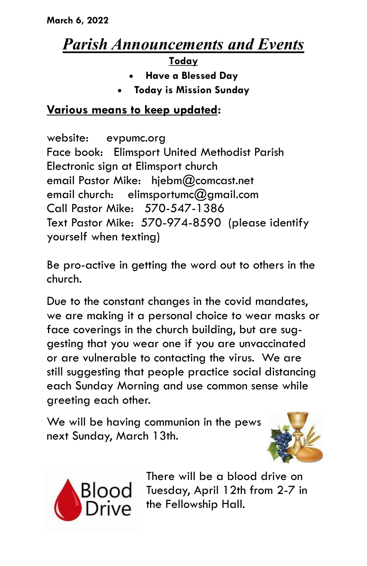## *Parish Announcements and Events*

**Today**

- **Have a Blessed Day**
- **Today is Mission Sunday**

## **Various means to keep updated:**

website: evpumc.org Face book: Elimsport United Methodist Parish Electronic sign at Elimsport church email Pastor Mike: hjebm@comcast.net email church: elimsportumc $@$ amail.com Call Pastor Mike: 570-547-1386 Text Pastor Mike: 570-974-8590 (please identify yourself when texting)

Be pro-active in getting the word out to others in the church.

Due to the constant changes in the covid mandates, we are making it a personal choice to wear masks or face coverings in the church building, but are suggesting that you wear one if you are unvaccinated or are vulnerable to contacting the virus. We are still suggesting that people practice social distancing each Sunday Morning and use common sense while greeting each other.

We will be having communion in the pews next Sunday, March 13th.





There will be a blood drive on Tuesday, April 12th from 2-7 in the Fellowship Hall.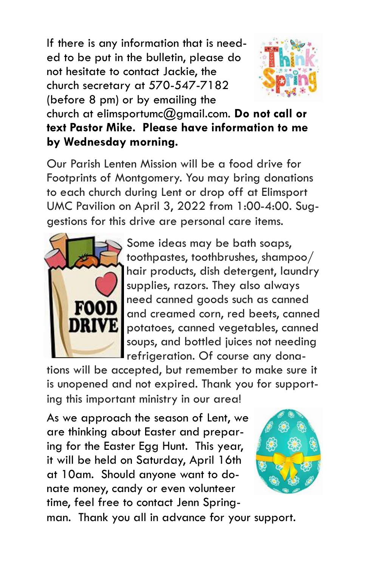If there is any information that is needed to be put in the bulletin, please do not hesitate to contact Jackie, the church secretary at 570-547-7182 (before 8 pm) or by emailing the



church at elimsportumc@gmail.com. **Do not call or text Pastor Mike. Please have information to me by Wednesday morning.**

Our Parish Lenten Mission will be a food drive for Footprints of Montgomery. You may bring donations to each church during Lent or drop off at Elimsport UMC Pavilion on April 3, 2022 from 1:00-4:00. Suggestions for this drive are personal care items.



Some ideas may be bath soaps, toothpastes, toothbrushes, shampoo/ hair products, dish detergent, laundry supplies, razors. They also always need canned goods such as canned and creamed corn, red beets, canned potatoes, canned vegetables, canned soups, and bottled juices not needing refrigeration. Of course any dona-

tions will be accepted, but remember to make sure it is unopened and not expired. Thank you for supporting this important ministry in our area!

As we approach the season of Lent, we are thinking about Easter and preparing for the Easter Egg Hunt. This year, it will be held on Saturday, April 16th at 10am. Should anyone want to donate money, candy or even volunteer time, feel free to contact Jenn Spring-



man. Thank you all in advance for your support.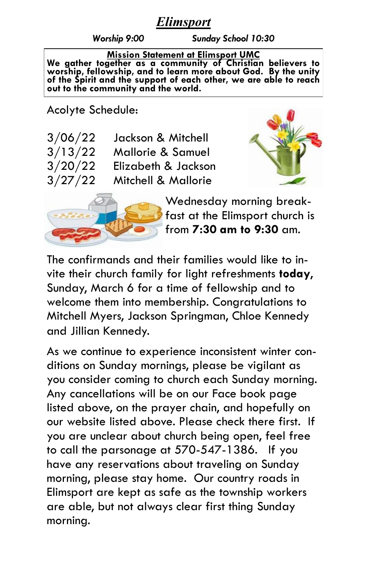## *Elimsport*

*Worship 9:00 Sunday School 10:30*

**Mission Statement at Elimsport UMC We gather together as a community of Christian believers to worship, fellowship, and to learn more about God. By the unity of the Spirit and the support of each other, we are able to reach out to the community and the world.**

Acolyte Schedule:

| 3/06/22 | Jackson & Mitchell  |
|---------|---------------------|
| 3/13/22 | Mallorie & Samuel   |
| 3/20/22 | Elizabeth & Jackson |
| 3/27/22 | Mitchell & Mallorie |





Wednesday morning breakfast at the Elimsport church is from **7:30 am to 9:30** am.

The confirmands and their families would like to invite their church family for light refreshments **today**, Sunday, March 6 for a time of fellowship and to welcome them into membership. Congratulations to Mitchell Myers, Jackson Springman, Chloe Kennedy and Jillian Kennedy.

As we continue to experience inconsistent winter conditions on Sunday mornings, please be vigilant as you consider coming to church each Sunday morning. Any cancellations will be on our Face book page listed above, on the prayer chain, and hopefully on our website listed above. Please check there first. If you are unclear about church being open, feel free to call the parsonage at 570-547-1386. If you have any reservations about traveling on Sunday morning, please stay home. Our country roads in Elimsport are kept as safe as the township workers are able, but not always clear first thing Sunday morning.